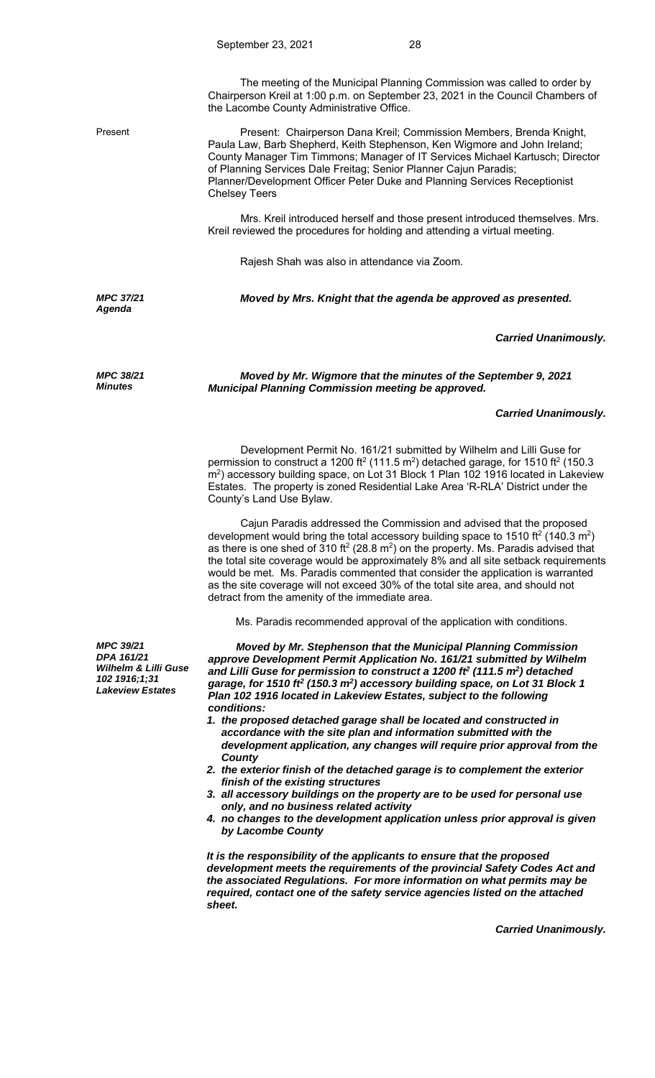The meeting of the Municipal Planning Commission was called to order by Chairperson Kreil at 1:00 p.m. on September 23, 2021 in the Council Chambers of the Lacombe County Administrative Office.

Present Present: Chairperson Dana Kreil; Commission Members, Brenda Knight, Paula Law, Barb Shepherd, Keith Stephenson, Ken Wigmore and John Ireland; County Manager Tim Timmons; Manager of IT Services Michael Kartusch; Director of Planning Services Dale Freitag; Senior Planner Cajun Paradis; Planner/Development Officer Peter Duke and Planning Services Receptionist Chelsey Teers

> Mrs. Kreil introduced herself and those present introduced themselves. Mrs. Kreil reviewed the procedures for holding and attending a virtual meeting.

Rajesh Shah was also in attendance via Zoom.

*MPC 37/21 Agenda* 

*MPC 38/21 Minutes*

*Moved by Mrs. Knight that the agenda be approved as presented.* 

## *Carried Unanimously.*

*Moved by Mr. Wigmore that the minutes of the September 9, 2021 Municipal Planning Commission meeting be approved.* 

## *Carried Unanimously.*

 Development Permit No. 161/21 submitted by Wilhelm and Lilli Guse for permission to construct a 1200 ft<sup>2</sup> (111.5 m<sup>2</sup>) detached garage, for 1510 ft<sup>2</sup> (150.3 m2) accessory building space, on Lot 31 Block 1 Plan 102 1916 located in Lakeview Estates. The property is zoned Residential Lake Area 'R-RLA' District under the County's Land Use Bylaw.

 Cajun Paradis addressed the Commission and advised that the proposed development would bring the total accessory building space to 1510 ft<sup>2</sup> (140.3 m<sup>2</sup>) as there is one shed of 310 ft<sup>2</sup> (28.8 m<sup>2</sup>) on the property. Ms. Paradis advised that the total site coverage would be approximately 8% and all site setback requirements would be met. Ms. Paradis commented that consider the application is warranted as the site coverage will not exceed 30% of the total site area, and should not detract from the amenity of the immediate area.

Ms. Paradis recommended approval of the application with conditions.

*Moved by Mr. Stephenson that the Municipal Planning Commission approve Development Permit Application No. 161/21 submitted by Wilhelm and Lilli Guse for permission to construct a 1200 ft2 (111.5 m2) detached*  garage, for 1510 ft<sup>2</sup> (150.3 m<sup>2</sup>) accessory building space, on Lot 31 Block 1 *Plan 102 1916 located in Lakeview Estates, subject to the following conditions:* 

- *1. the proposed detached garage shall be located and constructed in accordance with the site plan and information submitted with the development application, any changes will require prior approval from the County*
- *2. the exterior finish of the detached garage is to complement the exterior finish of the existing structures*
- *3. all accessory buildings on the property are to be used for personal use only, and no business related activity*
- *4. no changes to the development application unless prior approval is given by Lacombe County*

*It is the responsibility of the applicants to ensure that the proposed development meets the requirements of the provincial Safety Codes Act and the associated Regulations. For more information on what permits may be required, contact one of the safety service agencies listed on the attached sheet.*

*Carried Unanimously.*

*MPC 39/21 DPA 161/21 Wilhelm & Lilli Guse 102 1916;1;31 Lakeview Estates*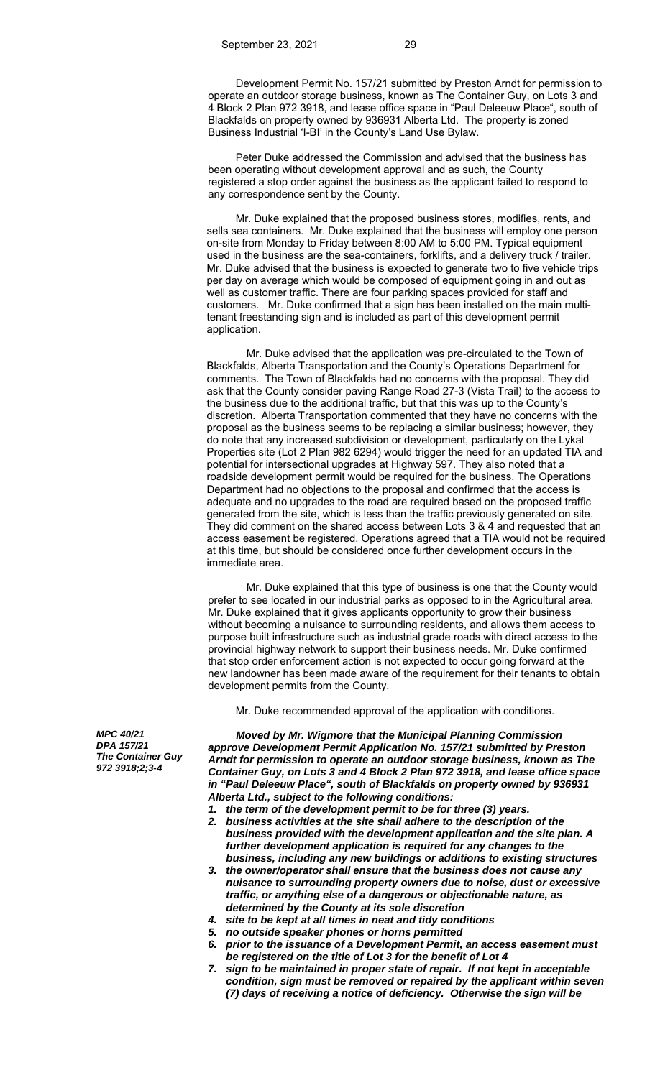Development Permit No. 157/21 submitted by Preston Arndt for permission to operate an outdoor storage business, known as The Container Guy, on Lots 3 and 4 Block 2 Plan 972 3918, and lease office space in "Paul Deleeuw Place", south of Blackfalds on property owned by 936931 Alberta Ltd. The property is zoned Business Industrial 'I-BI' in the County's Land Use Bylaw.

 Peter Duke addressed the Commission and advised that the business has been operating without development approval and as such, the County registered a stop order against the business as the applicant failed to respond to any correspondence sent by the County.

 Mr. Duke explained that the proposed business stores, modifies, rents, and sells sea containers. Mr. Duke explained that the business will employ one person on-site from Monday to Friday between 8:00 AM to 5:00 PM. Typical equipment used in the business are the sea-containers, forklifts, and a delivery truck / trailer. Mr. Duke advised that the business is expected to generate two to five vehicle trips per day on average which would be composed of equipment going in and out as well as customer traffic. There are four parking spaces provided for staff and customers. Mr. Duke confirmed that a sign has been installed on the main multitenant freestanding sign and is included as part of this development permit application.

Mr. Duke advised that the application was pre-circulated to the Town of Blackfalds, Alberta Transportation and the County's Operations Department for comments. The Town of Blackfalds had no concerns with the proposal. They did ask that the County consider paving Range Road 27-3 (Vista Trail) to the access to the business due to the additional traffic, but that this was up to the County's discretion. Alberta Transportation commented that they have no concerns with the proposal as the business seems to be replacing a similar business; however, they do note that any increased subdivision or development, particularly on the Lykal Properties site (Lot 2 Plan 982 6294) would trigger the need for an updated TIA and potential for intersectional upgrades at Highway 597. They also noted that a roadside development permit would be required for the business. The Operations Department had no objections to the proposal and confirmed that the access is adequate and no upgrades to the road are required based on the proposed traffic generated from the site, which is less than the traffic previously generated on site. They did comment on the shared access between Lots 3 & 4 and requested that an access easement be registered. Operations agreed that a TIA would not be required at this time, but should be considered once further development occurs in the immediate area.

Mr. Duke explained that this type of business is one that the County would prefer to see located in our industrial parks as opposed to in the Agricultural area. Mr. Duke explained that it gives applicants opportunity to grow their business without becoming a nuisance to surrounding residents, and allows them access to purpose built infrastructure such as industrial grade roads with direct access to the provincial highway network to support their business needs. Mr. Duke confirmed that stop order enforcement action is not expected to occur going forward at the new landowner has been made aware of the requirement for their tenants to obtain development permits from the County.

Mr. Duke recommended approval of the application with conditions.

*MPC 40/21 DPA 157/21 The Container Guy 972 3918;2;3-4* 

*Moved by Mr. Wigmore that the Municipal Planning Commission approve Development Permit Application No. 157/21 submitted by Preston Arndt for permission to operate an outdoor storage business, known as The Container Guy, on Lots 3 and 4 Block 2 Plan 972 3918, and lease office space in "Paul Deleeuw Place", south of Blackfalds on property owned by 936931 Alberta Ltd., subject to the following conditions:* 

- *1. the term of the development permit to be for three (3) years.*
- *2. business activities at the site shall adhere to the description of the business provided with the development application and the site plan. A further development application is required for any changes to the business, including any new buildings or additions to existing structures*
- *3. the owner/operator shall ensure that the business does not cause any nuisance to surrounding property owners due to noise, dust or excessive traffic, or anything else of a dangerous or objectionable nature, as determined by the County at its sole discretion*
- *4. site to be kept at all times in neat and tidy conditions*
- *5. no outside speaker phones or horns permitted*
- *6. prior to the issuance of a Development Permit, an access easement must be registered on the title of Lot 3 for the benefit of Lot 4*
- *7. sign to be maintained in proper state of repair. If not kept in acceptable condition, sign must be removed or repaired by the applicant within seven (7) days of receiving a notice of deficiency. Otherwise the sign will be*